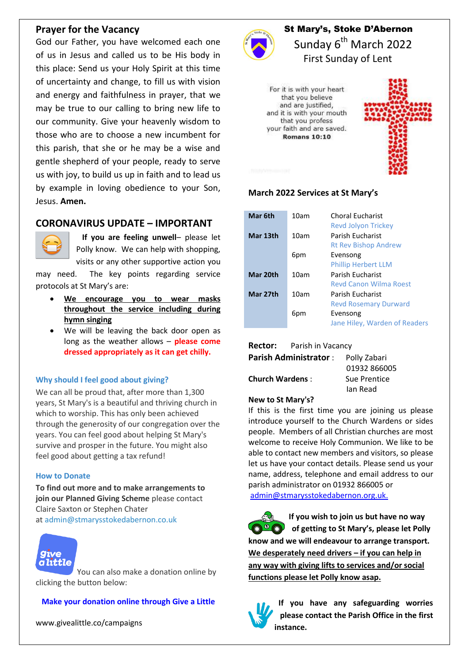## **Prayer for the Vacancy**

God our Father, you have welcomed each one of us in Jesus and called us to be His body in this place: Send us your Holy Spirit at this time of uncertainty and change, to fill us with vision and energy and faithfulness in prayer, that we may be true to our calling to bring new life to our community. Give your heavenly wisdom to those who are to choose a new incumbent for this parish, that she or he may be a wise and gentle shepherd of your people, ready to serve us with joy, to build us up in faith and to lead us by example in loving obedience to your Son, Jesus. **Amen.**

# **CORONAVIRUS UPDATE – IMPORTANT**



 **If you are feeling unwell**– please let Polly know. We can help with shopping, visits or any other supportive action you

may need. The key points regarding service protocols at St Mary's are:

- **We encourage you to wear masks throughout the service including during hymn singing**
- We will be leaving the back door open as long as the weather allows – **please come dressed appropriately as it can get chilly.**

#### **Why should I feel good about giving?**

We can all be proud that, after more than 1,300 years, St Mary's is a beautiful and thriving church in which to worship. This has only been achieved through the generosity of our congregation over the years. You can feel good about helping St Mary's survive and prosper in the future. You might also feel good about getting a tax refund!

#### **How to Donate**

**To find out more and to make arrangements to join our Planned Giving Scheme** please contact Claire Saxton or Stephen Chater at [admin@stmarysstokedabernon.co.uk](mailto:info@stmarysstokedabernon.co.uk)



[Y](https://givealittle.co/campaigns/7d65d2c5-4189-45f4-9027-11ecb5814414)ou can also make a donation online by clicking the button below:

### **Make your [donation](https://givealittle.co/campaigns/7d65d2c5-4189-45f4-9027-11ecb5814414) online through Give a Little**

www.givealittle.co/campaigns



St Mary's, Stoke D'Abernon Sunday 6<sup>th</sup> March 2022 First Sunday of Lent

For it is with your heart that you believe and are justified, and it is with your mouth that you profess your faith and are saved. **Romans 10:10** 



### **March 2022 Services at St Mary's**

| Mar 6th  | 10am | <b>Choral Eucharist</b><br><b>Revd Jolyon Trickey</b> |
|----------|------|-------------------------------------------------------|
| Mar 13th | 10am | Parish Fucharist<br><b>Rt Rev Bishop Andrew</b>       |
|          | 6pm  | Evensong<br><b>Phillip Herbert LLM</b>                |
| Mar 20th | 10am | Parish Fucharist<br><b>Revd Canon Wilma Roest</b>     |
| Mar 27th | 10am | Parish Fucharist<br><b>Revd Rosemary Durward</b>      |
|          | 6pm  | Evensong<br>Jane Hiley, Warden of Readers             |

#### **Rector:** Parish in Vacancy

| <b>Parish Administrator:</b> | Polly Zabari |
|------------------------------|--------------|
|                              | 01932 866005 |
| <b>Church Wardens:</b>       | Sue Prentice |
|                              | Ian Read     |

#### **New to St Mary's?**

If this is the first time you are joining us please introduce yourself to the Church Wardens or sides people. Members of all Christian churches are most welcome to receive Holy Communion. We like to be able to contact new members and visitors, so please let us have your contact details. Please send us your name, address, telephone and email address to our parish administrator on 01932 866005 or [admin@stmarysstokedabernon.org.uk.](mailto:admin@stmarysstokedabernon.org.uk)

**If you wish to join us but have no way of getting to St Mary's, please let Polly know and we will endeavour to arrange transport. We desperately need drivers – if you can help in any way with giving lifts to services and/or social functions please let Polly know asap.**



**If you have any safeguarding worries please contact the Parish Office in the first instance.**